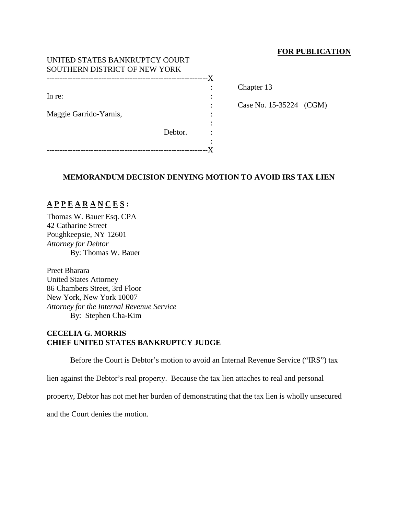## **FOR PUBLICATION**

| UNITED STATES BANKRUPTCY COURT      |         |    |
|-------------------------------------|---------|----|
| SOUTHERN DISTRICT OF NEW YORK       |         |    |
|                                     |         | -X |
|                                     |         |    |
| In re:                              |         |    |
|                                     |         |    |
| Maggie Garrido-Yarnis,              |         |    |
|                                     |         |    |
|                                     | Debtor. |    |
|                                     |         |    |
| ----------------------------------- |         |    |

Chapter 13

Case No. 15-35224 (CGM)

## **MEMORANDUM DECISION DENYING MOTION TO AVOID IRS TAX LIEN**

# **A P P E A R A N C E S :**

Thomas W. Bauer Esq. CPA 42 Catharine Street Poughkeepsie, NY 12601 *Attorney for Debtor* By: Thomas W. Bauer

Preet Bharara United States Attorney 86 Chambers Street, 3rd Floor New York, New York 10007 *Attorney for the Internal Revenue Service* By: Stephen Cha-Kim

# **CECELIA G. MORRIS CHIEF UNITED STATES BANKRUPTCY JUDGE**

Before the Court is Debtor's motion to avoid an Internal Revenue Service ("IRS") tax

lien against the Debtor's real property. Because the tax lien attaches to real and personal

property, Debtor has not met her burden of demonstrating that the tax lien is wholly unsecured

and the Court denies the motion.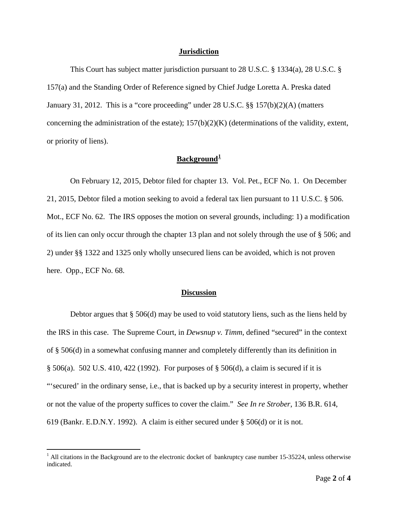#### **Jurisdiction**

This Court has subject matter jurisdiction pursuant to 28 U.S.C. § 1334(a), 28 U.S.C. § 157(a) and the Standing Order of Reference signed by Chief Judge Loretta A. Preska dated January 31, 2012. This is a "core proceeding" under 28 U.S.C. §§ 157(b)(2)(A) (matters concerning the administration of the estate);  $157(b)(2)(K)$  (determinations of the validity, extent, or priority of liens).

# **Background[1](#page-1-0)**

On February 12, 2015, Debtor filed for chapter 13. Vol. Pet., ECF No. 1. On December 21, 2015, Debtor filed a motion seeking to avoid a federal tax lien pursuant to 11 U.S.C. § 506. Mot., ECF No. 62. The IRS opposes the motion on several grounds, including: 1) a modification of its lien can only occur through the chapter 13 plan and not solely through the use of § 506; and 2) under §§ 1322 and 1325 only wholly unsecured liens can be avoided, which is not proven here. Opp., ECF No. 68.

### **Discussion**

Debtor argues that § 506(d) may be used to void statutory liens, such as the liens held by the IRS in this case. The Supreme Court, in *Dewsnup v. Timm*, defined "secured" in the context of § 506(d) in a somewhat confusing manner and completely differently than its definition in § 506(a). 502 U.S. 410, 422 (1992). For purposes of § 506(d), a claim is secured if it is "'secured' in the ordinary sense, i.e., that is backed up by a security interest in property, whether or not the value of the property suffices to cover the claim." *See In re Strober*, 136 B.R. 614, 619 (Bankr. E.D.N.Y. 1992). A claim is either secured under § 506(d) or it is not.

<span id="page-1-0"></span> $1$  All citations in the Background are to the electronic docket of bankruptcy case number 15-35224, unless otherwise indicated.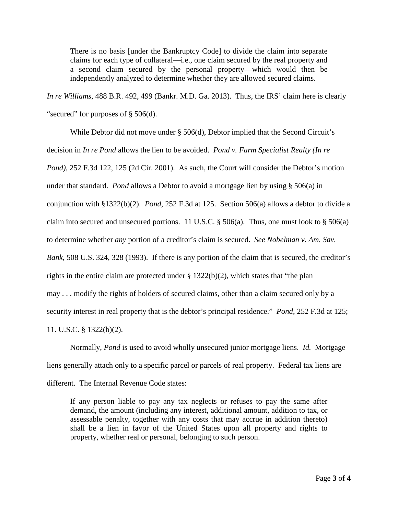There is no basis [under the Bankruptcy Code] to divide the claim into separate claims for each type of collateral—i.e., one claim secured by the real property and a second claim secured by the personal property—which would then be independently analyzed to determine whether they are allowed secured claims.

*In re Williams*, 488 B.R. 492, 499 (Bankr. M.D. Ga. 2013). Thus, the IRS' claim here is clearly "secured" for purposes of § 506(d).

While Debtor did not move under § 506(d), Debtor implied that the Second Circuit's decision in *In re Pond* allows the lien to be avoided. *Pond v. Farm Specialist Realty (In re Pond)*, 252 F.3d 122, 125 (2d Cir. 2001). As such, the Court will consider the Debtor's motion under that standard. *Pond* allows a Debtor to avoid a mortgage lien by using § 506(a) in conjunction with §1322(b)(2). *Pond*, 252 F.3d at 125. Section 506(a) allows a debtor to divide a claim into secured and unsecured portions. 11 U.S.C.  $\S 506(a)$ . Thus, one must look to  $\S 506(a)$ to determine whether *any* portion of a creditor's claim is secured. *See Nobelman v. Am. Sav. Bank*, 508 U.S. 324, 328 (1993). If there is any portion of the claim that is secured, the creditor's rights in the entire claim are protected under § 1322(b)(2), which states that "the plan may . . . modify the rights of holders of secured claims, other than a claim secured only by a security interest in real property that is the debtor's principal residence." *Pond*, 252 F.3d at 125; 11. U.S.C. § 1322(b)(2).

Normally, *Pond* is used to avoid wholly unsecured junior mortgage liens. *Id.* Mortgage liens generally attach only to a specific parcel or parcels of real property. Federal tax liens are different. The Internal Revenue Code states:

If any person liable to pay any tax neglects or refuses to pay the same after demand, the amount (including any interest, additional amount, addition to tax, or assessable penalty, together with any costs that may accrue in addition thereto) shall be a lien in favor of the United States upon all property and rights to property, whether real or personal, belonging to such person.